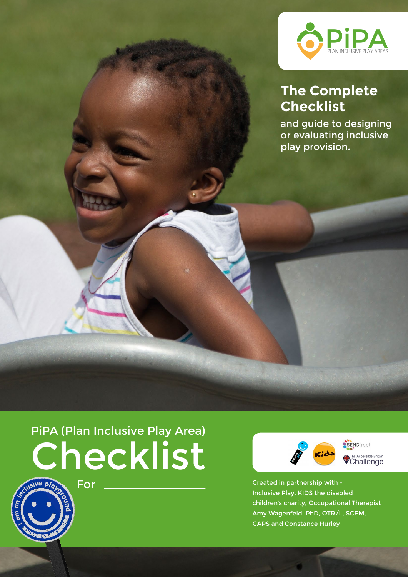

### **The Complete Checklist**

and guide to designing or evaluating inclusive play provision.

# PiPA (Plan Inclusive Play Area) Checklist

For



Created in partnership with - Inclusive Play, KIDS the disabled children's charity, Occupational Therapist Amy Wagenfeld, PhD, OTR/L, SCEM, CAPS and Constance Hurley

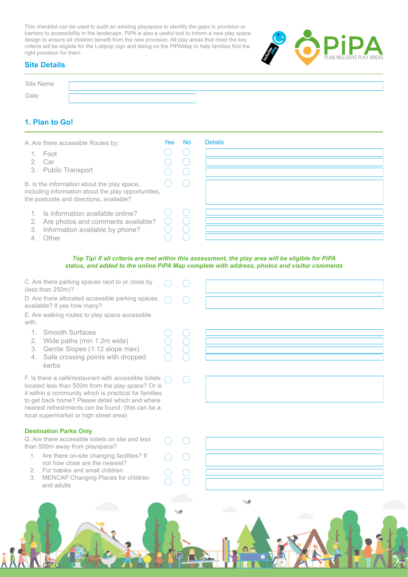This checklist can be used to audit an existing playspace to identify the gaps in provision or barriers to accessibility in the landscape. PiPA is also a useful tool to inform a new play space design to ensure all children benefit from the new provision. All play areas that meet the key criteria will be eligible for the Lollipop sign and listing on the PiPAMap to help families find the right provision for them.



### **Site Details**

| Site Name |      |  |  |
|-----------|------|--|--|
|           |      |  |  |
|           | Date |  |  |

### **1. Plan to Go!**

| A. Are there accessible Routes by:<br>1. Foot<br>2. Car<br>3. Public Transport<br>B. Is the information about the play space,<br>including information about the play opportunities,<br>the postcode and directions, available? | Yes: | - No | <b>Details</b> |
|---------------------------------------------------------------------------------------------------------------------------------------------------------------------------------------------------------------------------------|------|------|----------------|
| Is information available online?<br>Are photos and comments available?<br>2.<br>Information available by phone?<br>3.<br>Other                                                                                                  |      |      |                |

#### *Top Tip! If all criteria are met within this assessment, the play area will be eligible for PiPA status, and added to the online PiPA Map complete with address, photos and visitor comments*

| C. Are there parking spaces next to or close by<br>(less than 250m)?                                                                                                                                                                                                                                                  |                         |  |
|-----------------------------------------------------------------------------------------------------------------------------------------------------------------------------------------------------------------------------------------------------------------------------------------------------------------------|-------------------------|--|
| D. Are there allocated accessible parking spaces<br>available? If yes how many?                                                                                                                                                                                                                                       |                         |  |
| E. Are walking routes to play space accessible<br>with:                                                                                                                                                                                                                                                               |                         |  |
| $\mathbf{1}$<br>Smooth Surfaces<br>Wide paths (min 1.2m wide)<br>2.                                                                                                                                                                                                                                                   | $\widetilde{\bigtimes}$ |  |
| Gentle Slopes (1:12 slope max)<br>3.<br>Safe crossing points with dropped<br>4.<br>kerbs                                                                                                                                                                                                                              |                         |  |
| F. Is there a café/restaurant with accessible toilets<br>located less than 500m from the play space? Or is<br>it within a community which is practical for families<br>to get back home? Please detail which and where<br>nearest refreshments can be found. (this can be a<br>local supermarket or high street area) |                         |  |
| <b>Destination Parks Only</b>                                                                                                                                                                                                                                                                                         |                         |  |
| G. Are there accessible toilets on site and less<br>than 500m away from playspace?                                                                                                                                                                                                                                    |                         |  |
| 1. Are there on-site changing facilities? If<br>not how close are the nearest?                                                                                                                                                                                                                                        |                         |  |
| For babies and small children<br>$2^{\circ}$<br>MENCAP Changing Places for children<br>3.<br>and adults                                                                                                                                                                                                               |                         |  |
|                                                                                                                                                                                                                                                                                                                       |                         |  |
|                                                                                                                                                                                                                                                                                                                       |                         |  |
|                                                                                                                                                                                                                                                                                                                       |                         |  |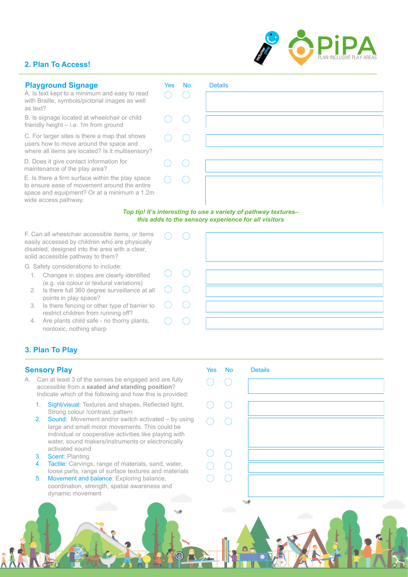### **2. Plan To Access!**

wide access pathway.

| <b>Playground Signage</b>                                                                                                                       | Yes | <b>No</b> | <b>Details</b> |
|-------------------------------------------------------------------------------------------------------------------------------------------------|-----|-----------|----------------|
| A. Is text kept to a minimum and easy to read<br>with Braille, symbols/pictorial images as well<br>as text?                                     |     |           |                |
| B. Is signage located at wheelchair or child<br>friendly height – i.e. 1m from ground                                                           |     |           |                |
| C. For larger sites is there a map that shows<br>users how to move around the space and<br>where all items are located? Is it multisensory?     |     |           |                |
| D. Does it give contact information for<br>maintenance of the play area?                                                                        |     |           |                |
| E. Is there a firm surface within the play space<br>to ensure ease of movement around the entire<br>space and equipment? Or at a minimum a 1.2m |     |           |                |

*Top tip! It's interesting to use a variety of pathway textures– this adds to the sensory experience for all visitors*

F. Can all wheelchair accessible items, or items easily accessed by children who are physically disabled, designed into the area with a clear, solid accessible pathway to them?

G. Safety considerations to include:

- 1. Changes in slopes are clearly identified (e.g. via colour or textural variations)
- 2. Is there full 360 degree surveillance at all points in play space?
- 3. Is there fencing or other type of barrier to restrict children from running off?
- 4. Are plants child safe no thorny plants, nontoxic, nothing sharp

### **3. Plan To Play**

### **Sensory Play**

- A. Can at least 3 of the senses be engaged and are fully accessible from a **seated** *and* **standing position**? Indicate which of the following and how this is provided:
	- 1. Sight/visual: Textures and shapes, Reflected light, Strong colour /contrast, pattern
	- 2. Sound: Movement and/or switch activated by using large and small motor movements. This could be individual or cooperative activities like playing with water, sound makers/instruments or electronically activated sound
	- 3. Scent: Planting
	- 4. Tactile: Carvings, range of materials, sand, water, loose parts, range of surface textures and materials
	- 5. Movement and balance: Exploring balance, coordination, strength, spatial awareness and dynamic movement







 $\bigcap$ 

◯

 $\bigcirc$ 

 $\bigcirc$ 

 $\bigcirc$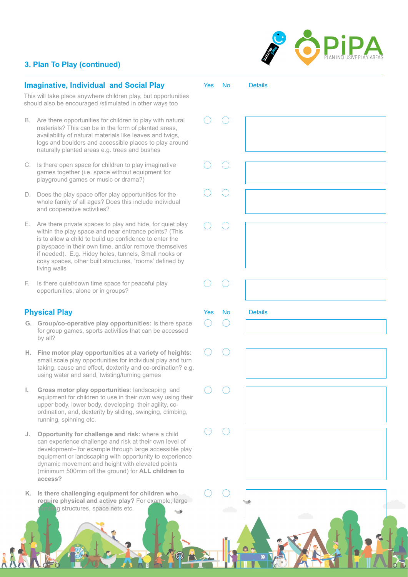## **PLAN INCLUSIVE PLAY AREAS** PLAN INCLUSIVE PLAY AREAS

Yes No

 $\sqrt{2}$ 

 $\left($ 

 $\left(\begin{array}{c} \end{array}\right)$ 

 $(\ )$ 

 $\subset$ 

 $\subset$ 

6.

**Details** 

Yes No

 $\bigcap$ 

Details

### **3. Plan To Play (continued)**

### **Imaginative, Individual and Social Play**

This will take place anywhere children play, but opportunities should also be encouraged /stimulated in other ways too

- B. Are there opportunities for children to play with natural materials? This can be in the form of planted areas, availability of natural materials like leaves and twigs, logs and boulders and accessible places to play around naturally planted areas e.g. trees and bushes
- C. Is there open space for children to play imaginative games together (i.e. space without equipment for playground games or music or drama?)
- D. Does the play space offer play opportunities for the whole family of all ages? Does this include individual and cooperative activities?
- E. Are there private spaces to play and hide, for quiet play within the play space and near entrance points? (This is to allow a child to build up confidence to enter the playspace in their own time, and/or remove themselves if needed). E.g. Hidey holes, tunnels, Small nooks or cosy spaces, other built structures, "rooms' defined by living walls
- F. Is there quiet/down time space for peaceful play opportunities, alone or in groups?

### **Physical Play**

- **G. Group/co-operative play opportunities:** Is there space for group games, sports activities that can be accessed by all?
- **H. Fine motor play opportunities at a variety of heights:**  small scale play opportunities for individual play and turn taking, cause and effect, dexterity and co-ordination? e.g. using water and sand, twisting/turning games
- **I. Gross motor play opportunities**: landscaping and equipment for children to use in their own way using their upper body, lower body, developing their agility, coordination, and, dexterity by sliding, swinging, climbing, running, spinning etc.
- **J. Opportunity for challenge and risk:** where a child can experience challenge and risk at their own level of development– for example through large accessible play equipment or landscaping with opportunity to experience dynamic movement and height with elevated points (minimum 500mm off the ground) for **ALL children to access?**
- **K. Is there challenging equipment for children who require physical and active play?** For example, large g structures, space nets etc.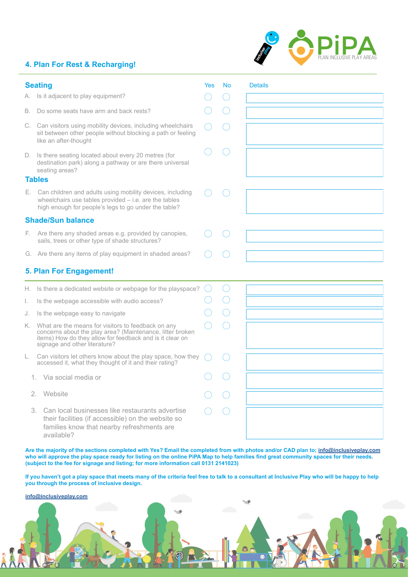### **4. Plan For Rest & Recharging!**

|  | PLAN INCLUSIVE PLAY AREAS |
|--|---------------------------|

|    | <b>Seating</b>                                                                                                                                                                                                  | Yes | <b>No</b> | <b>Details</b> |
|----|-----------------------------------------------------------------------------------------------------------------------------------------------------------------------------------------------------------------|-----|-----------|----------------|
|    | A. Is it adjacent to play equipment?                                                                                                                                                                            |     |           |                |
| В. | Do some seats have arm and back rests?                                                                                                                                                                          |     |           |                |
|    | C. Can visitors using mobility devices, including wheelchairs<br>sit between other people without blocking a path or feeling<br>like an after-thought                                                           |     |           |                |
|    | D. Is there seating located about every 20 metres (for<br>destination park) along a pathway or are there universal<br>seating areas?                                                                            |     |           |                |
|    | <b>Tables</b>                                                                                                                                                                                                   |     |           |                |
|    | E. Can children and adults using mobility devices, including<br>wheelchairs use tables provided $-$ i.e. are the tables<br>high enough for people's legs to go under the table?                                 |     |           |                |
|    | <b>Shade/Sun balance</b>                                                                                                                                                                                        |     |           |                |
|    | F. Are there any shaded areas e.g. provided by canopies,<br>sails, trees or other type of shade structures?                                                                                                     |     |           |                |
|    | G. Are there any items of play equipment in shaded areas?                                                                                                                                                       |     |           |                |
|    | 5. Plan For Engagement!                                                                                                                                                                                         |     |           |                |
|    | H. Is there a dedicated website or webpage for the playspace?                                                                                                                                                   |     | $(\ )$    |                |
| L. | Is the webpage accessible with audio access?                                                                                                                                                                    |     |           |                |
| J. | Is the webpage easy to navigate                                                                                                                                                                                 |     |           |                |
|    | K. What are the means for visitors to feedback on any<br>concerns about the play area? (Maintenance, litter broken<br>items) How do they allow for feedback and is it clear on<br>signage and other literature? |     |           |                |
| L. | Can visitors let others know about the play space, how they<br>accessed it, what they thought of it and their rating?                                                                                           |     |           |                |
|    | 1. Via social media or                                                                                                                                                                                          |     |           |                |
| 2. | Website                                                                                                                                                                                                         |     |           |                |
|    | Can local businesses like restaurants advertise<br>3.<br>their facilities (if accessible) on the website so<br>families know that nearby refreshments are<br>available?                                         |     |           |                |

**Are the majority of the sections completed with Yes? Email the completed from with photos and/or CAD plan to; [info@inclusiveplay.com](mailto:info%40inclusiveplay.com?subject=Completed%20PiPA%20Form) who will approve the play space ready for listing on the online PiPA Map to help families find great community spaces for their needs. (subject to the fee for signage and listing; for more information call 0131 2141023)**

**If you haven't got a play space that meets many of the criteria feel free to talk to a consultant at Inclusive Play who will be happy to help you through the process of inclusive design.**

 $\odot$ 

 $\mathcal{L}$ 

**info@inclusiveplay.com**